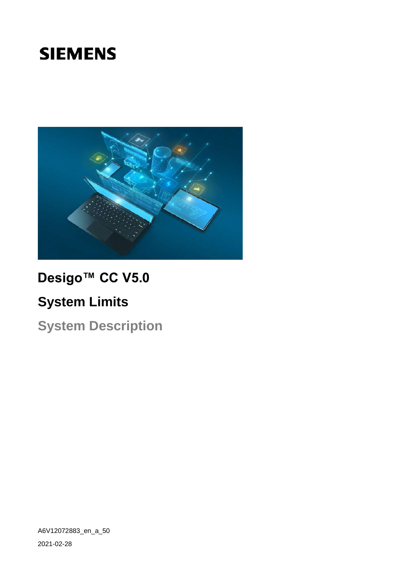# **SIEMENS**



# **Desigo™ CC V5.0**

# **System Limits**

**System Description**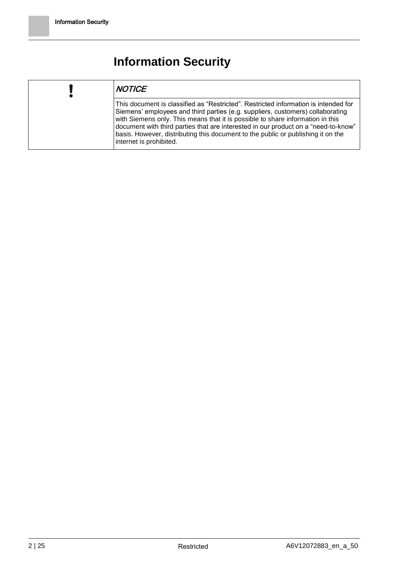# **Information Security**

| <b>NOTICE</b>                                                                                                                                                                                                                                                                                                                                                                                                                                                |
|--------------------------------------------------------------------------------------------------------------------------------------------------------------------------------------------------------------------------------------------------------------------------------------------------------------------------------------------------------------------------------------------------------------------------------------------------------------|
| This document is classified as "Restricted". Restricted information is intended for<br>Siemens' employees and third parties (e.g. suppliers, customers) collaborating<br>with Siemens only. This means that it is possible to share information in this<br>document with third parties that are interested in our product on a "need-to-know"<br>basis. However, distributing this document to the public or publishing it on the<br>internet is prohibited. |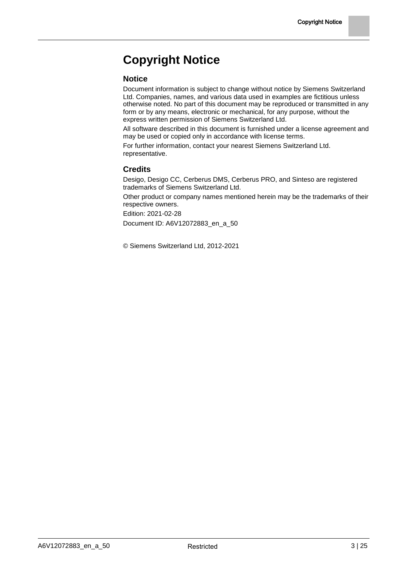# **Copyright Notice**

### **Notice**

Document information is subject to change without notice by Siemens Switzerland Ltd. Companies, names, and various data used in examples are fictitious unless otherwise noted. No part of this document may be reproduced or transmitted in any form or by any means, electronic or mechanical, for any purpose, without the express written permission of Siemens Switzerland Ltd.

All software described in this document is furnished under a license agreement and may be used or copied only in accordance with license terms.

For further information, contact your nearest Siemens Switzerland Ltd. representative.

### **Credits**

Desigo, Desigo CC, Cerberus DMS, Cerberus PRO, and Sinteso are registered trademarks of Siemens Switzerland Ltd.

Other product or company names mentioned herein may be the trademarks of their respective owners.

Edition: 2021-02-28

Document ID: A6V12072883\_en\_a\_50

© Siemens Switzerland Ltd, 2012-2021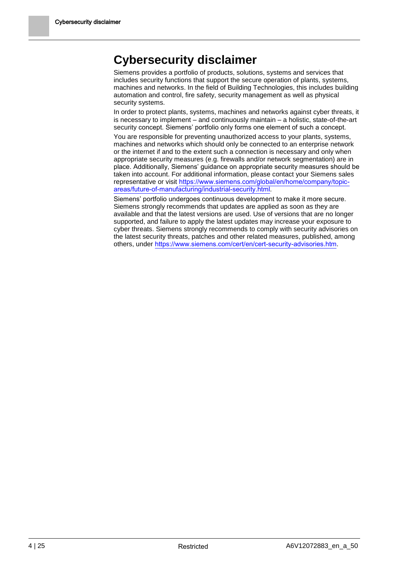### **Cybersecurity disclaimer**

Siemens provides a portfolio of products, solutions, systems and services that includes security functions that support the secure operation of plants, systems, machines and networks. In the field of Building Technologies, this includes building automation and control, fire safety, security management as well as physical security systems.

In order to protect plants, systems, machines and networks against cyber threats, it is necessary to implement – and continuously maintain – a holistic, state-of-the-art security concept. Siemens' portfolio only forms one element of such a concept.

You are responsible for preventing unauthorized access to your plants, systems, machines and networks which should only be connected to an enterprise network or the internet if and to the extent such a connection is necessary and only when appropriate security measures (e.g. firewalls and/or network segmentation) are in place. Additionally, Siemens' guidance on appropriate security measures should be taken into account. For additional information, please contact your Siemens sales representative or visit [https://www.siemens.com/global/en/home/company/topic](https://www.siemens.com/global/en/home/company/topic-areas/future-of-manufacturing/industrial-security.html)[areas/future-of-manufacturing/industrial-security.html](https://www.siemens.com/global/en/home/company/topic-areas/future-of-manufacturing/industrial-security.html).

Siemens' portfolio undergoes continuous development to make it more secure. Siemens strongly recommends that updates are applied as soon as they are available and that the latest versions are used. Use of versions that are no longer supported, and failure to apply the latest updates may increase your exposure to cyber threats. Siemens strongly recommends to comply with security advisories on the latest security threats, patches and other related measures, published, among others, under <https://www.siemens.com/cert/en/cert-security-advisories.htm>.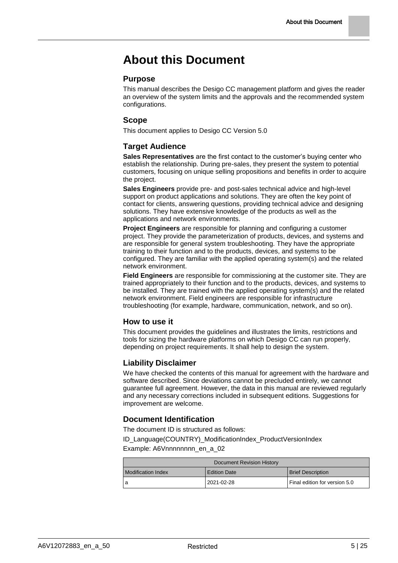### **About this Document**

#### **Purpose**

This manual describes the Desigo CC management platform and gives the reader an overview of the system limits and the approvals and the recommended system configurations.

#### **Scope**

This document applies to Desigo CC Version 5.0

### **Target Audience**

**Sales Representatives** are the first contact to the customer's buying center who establish the relationship. During pre-sales, they present the system to potential customers, focusing on unique selling propositions and benefits in order to acquire the project.

**Sales Engineers** provide pre- and post-sales technical advice and high-level support on product applications and solutions. They are often the key point of contact for clients, answering questions, providing technical advice and designing solutions. They have extensive knowledge of the products as well as the applications and network environments.

**Project Engineers** are responsible for planning and configuring a customer project. They provide the parameterization of products, devices, and systems and are responsible for general system troubleshooting. They have the appropriate training to their function and to the products, devices, and systems to be configured. They are familiar with the applied operating system(s) and the related network environment.

**Field Engineers** are responsible for commissioning at the customer site. They are trained appropriately to their function and to the products, devices, and systems to be installed. They are trained with the applied operating system(s) and the related network environment. Field engineers are responsible for infrastructure troubleshooting (for example, hardware, communication, network, and so on).

### **How to use it**

This document provides the guidelines and illustrates the limits, restrictions and tools for sizing the hardware platforms on which Desigo CC can run properly, depending on project requirements. It shall help to design the system.

### **Liability Disclaimer**

We have checked the contents of this manual for agreement with the hardware and software described. Since deviations cannot be precluded entirely, we cannot guarantee full agreement. However, the data in this manual are reviewed regularly and any necessary corrections included in subsequent editions. Suggestions for improvement are welcome.

### **Document Identification**

The document ID is structured as follows:

ID\_Language(COUNTRY)\_ModificationIndex\_ProductVersionIndex

Example: A6Vnnnnnnnn\_en\_a\_02

| Document Revision History                                                    |  |                               |  |
|------------------------------------------------------------------------------|--|-------------------------------|--|
| <b>Modification Index</b><br><b>Edition Date</b><br><b>Brief Description</b> |  |                               |  |
| 2021-02-28                                                                   |  | Final edition for version 5.0 |  |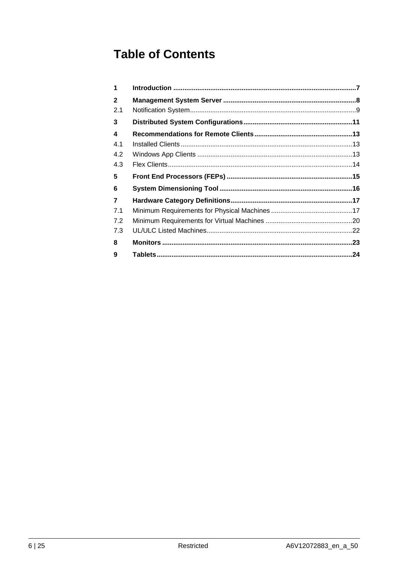# **Table of Contents**

| 1            |  |
|--------------|--|
| $\mathbf{2}$ |  |
| 2.1          |  |
| 3            |  |
| 4            |  |
| 4.1          |  |
| 4.2          |  |
| 4.3          |  |
| 5            |  |
| 6            |  |
| 7            |  |
| 7.1          |  |
| 7.2          |  |
| 7.3          |  |
| 8            |  |
| 9            |  |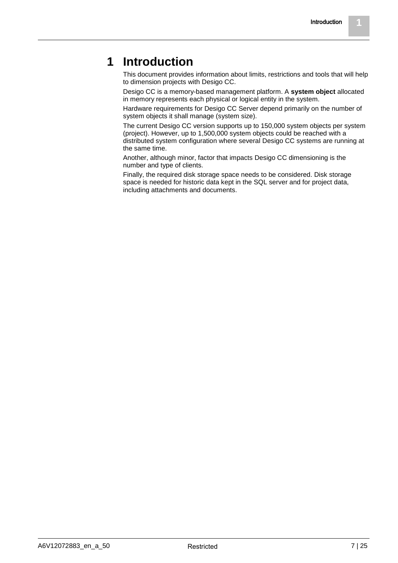### <span id="page-6-0"></span>**1 Introduction**

This document provides information about limits, restrictions and tools that will help to dimension projects with Desigo CC.

Desigo CC is a memory-based management platform. A **system object** allocated in memory represents each physical or logical entity in the system.

Hardware requirements for Desigo CC Server depend primarily on the number of system objects it shall manage (system size).

The current Desigo CC version supports up to 150,000 system objects per system (project). However, up to 1,500,000 system objects could be reached with a distributed system configuration where several Desigo CC systems are running at the same time.

Another, although minor, factor that impacts Desigo CC dimensioning is the number and type of clients.

Finally, the required disk storage space needs to be considered. Disk storage space is needed for historic data kept in the SQL server and for project data, including attachments and documents.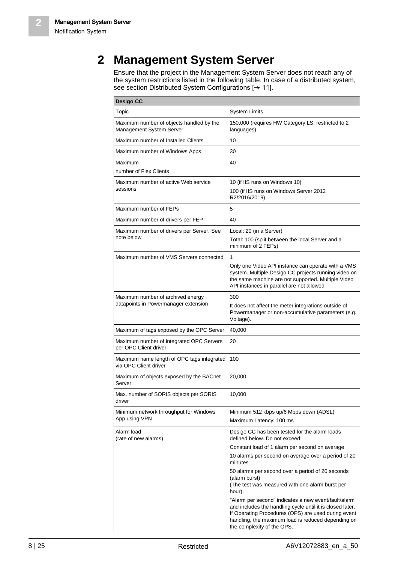<span id="page-7-0"></span>**2**

## **2 Management System Server**

Ensure that the project in the Management System Server does not reach any of the system restrictions listed in the following table. In case of a distributed system, see section Distributed System Configurations [→ [11\]](#page-10-0).

| <b>Desigo CC</b>                                                          |                                                                                                                                                                                                                                                              |
|---------------------------------------------------------------------------|--------------------------------------------------------------------------------------------------------------------------------------------------------------------------------------------------------------------------------------------------------------|
| Topic                                                                     | <b>System Limits</b>                                                                                                                                                                                                                                         |
| Maximum number of objects handled by the<br>Management System Server      | 150,000 (requires HW Category LS, restricted to 2<br>languages)                                                                                                                                                                                              |
| Maximum number of Installed Clients                                       | 10                                                                                                                                                                                                                                                           |
| Maximum number of Windows Apps                                            | 30                                                                                                                                                                                                                                                           |
| Maximum                                                                   | 40                                                                                                                                                                                                                                                           |
| number of Flex Clients                                                    |                                                                                                                                                                                                                                                              |
| Maximum number of active Web service<br>sessions                          | 10 (if IIS runs on Windows 10)<br>100 (if IIS runs on Windows Server 2012<br>R2/2016/2019)                                                                                                                                                                   |
| Maximum number of FEPs                                                    | 5                                                                                                                                                                                                                                                            |
| Maximum number of drivers per FEP                                         | 40                                                                                                                                                                                                                                                           |
| Maximum number of drivers per Server. See<br>note below                   | Local: 20 (in a Server)<br>Total: 100 (split between the local Server and a<br>minimum of 2 FEPs)                                                                                                                                                            |
| Maximum number of VMS Servers connected                                   | $\mathbf{1}$<br>Only one Video API instance can operate with a VMS<br>system. Multiple Desigo CC projects running video on<br>the same machine are not supported. Multiple Video<br>API instances in parallel are not allowed                                |
| Maximum number of archived energy<br>datapoints in Powermanager extension | 300<br>It does not affect the meter integrations outside of<br>Powermanager or non-accumulative parameters (e.g.<br>Voltage).                                                                                                                                |
| Maximum of tags exposed by the OPC Server                                 | 40,000                                                                                                                                                                                                                                                       |
| Maximum number of integrated OPC Servers<br>per OPC Client driver         | 20                                                                                                                                                                                                                                                           |
| Maximum name length of OPC tags integrated<br>via OPC Client driver       | 100                                                                                                                                                                                                                                                          |
| Maximum of objects exposed by the BACnet<br>Server                        | 20,000                                                                                                                                                                                                                                                       |
| Max. number of SORIS objects per SORIS<br>driver                          | 10,000                                                                                                                                                                                                                                                       |
| Minimum network throughput for Windows                                    | Minimum 512 kbps up/6 Mbps down (ADSL)                                                                                                                                                                                                                       |
| App using VPN                                                             | Maximum Latency: 100 ms                                                                                                                                                                                                                                      |
| Alarm load<br>(rate of new alarms)                                        | Desigo CC has been tested for the alarm loads<br>defined below. Do not exceed:                                                                                                                                                                               |
|                                                                           | Constant load of 1 alarm per second on average                                                                                                                                                                                                               |
|                                                                           | 10 alarms per second on average over a period of 20<br>minutes                                                                                                                                                                                               |
|                                                                           | 50 alarms per second over a period of 20 seconds<br>(alarm burst)<br>(The test was measured with one alarm burst per<br>hour).                                                                                                                               |
|                                                                           | "Alarm per second" indicates a new event/fault/alarm<br>and includes the handling cycle until it is closed later.<br>If Operating Procedures (OPS) are used during event<br>handling, the maximum load is reduced depending on<br>the complexity of the OPS. |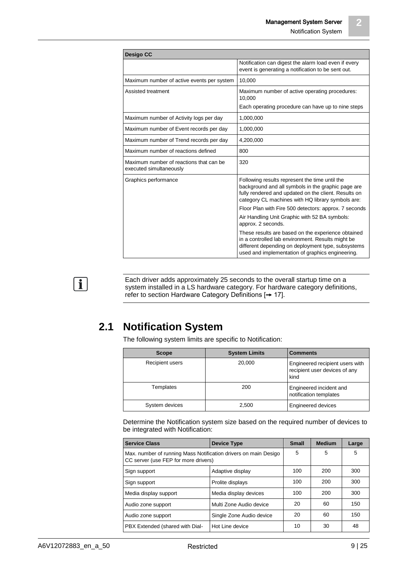Notification System

**2**

| Desigo CC                                                          |                                                                                                                                                                                                                   |  |
|--------------------------------------------------------------------|-------------------------------------------------------------------------------------------------------------------------------------------------------------------------------------------------------------------|--|
|                                                                    | Notification can digest the alarm load even if every<br>event is generating a notification to be sent out.                                                                                                        |  |
| Maximum number of active events per system                         | 10,000                                                                                                                                                                                                            |  |
| Assisted treatment                                                 | Maximum number of active operating procedures:<br>10.000<br>Each operating procedure can have up to nine steps                                                                                                    |  |
| Maximum number of Activity logs per day                            | 1,000,000                                                                                                                                                                                                         |  |
| Maximum number of Event records per day                            | 1,000,000                                                                                                                                                                                                         |  |
| Maximum number of Trend records per day                            | 4,200,000                                                                                                                                                                                                         |  |
| Maximum number of reactions defined                                | 800                                                                                                                                                                                                               |  |
| Maximum number of reactions that can be<br>executed simultaneously | 320                                                                                                                                                                                                               |  |
| Graphics performance                                               | Following results represent the time until the<br>background and all symbols in the graphic page are<br>fully rendered and updated on the client. Results on<br>category CL machines with HQ library symbols are: |  |
|                                                                    | Floor Plan with Fire 500 detectors: approx. 7 seconds                                                                                                                                                             |  |
|                                                                    | Air Handling Unit Graphic with 52 BA symbols:<br>approx. 2 seconds.                                                                                                                                               |  |
|                                                                    | These results are based on the experience obtained<br>in a controlled lab environment. Results might be<br>different depending on deployment type, subsystems<br>used and implementation of graphics engineering. |  |

<span id="page-8-0"></span>
$$
\boxed{\mathbf{i}}
$$

Each driver adds approximately 25 seconds to the overall startup time on a system installed in a LS hardware category. For hardware category definitions, refer to section [Hardware Category Definiti](#page-16-0)ons [→ [17\]](#page-16-0).

### **2.1 Notification System**

The following system limits are specific to Notification:

| <b>Scope</b>     | <b>System Limits</b> | <b>Comments</b>                                                          |  |
|------------------|----------------------|--------------------------------------------------------------------------|--|
| Recipient users  | 20,000               | Engineered recipient users with<br>recipient user devices of any<br>kind |  |
| <b>Templates</b> | 200                  | Engineered incident and<br>notification templates                        |  |
| System devices   | 2,500                | Engineered devices                                                       |  |

Determine the Notification system size based on the required number of devices to be integrated with Notification:

| <b>Service Class</b>                                                                                    | <b>Device Type</b>       | <b>Small</b> | <b>Medium</b> | Large |
|---------------------------------------------------------------------------------------------------------|--------------------------|--------------|---------------|-------|
| Max. number of running Mass Notification drivers on main Desigo<br>CC server (use FEP for more drivers) |                          | 5            | 5             | 5     |
| Sign support                                                                                            | Adaptive display         | 100          | 200           | 300   |
| Sign support                                                                                            | Prolite displays         | 100          | 200           | 300   |
| Media display support                                                                                   | Media display devices    | 100          | 200           | 300   |
| Audio zone support                                                                                      | Multi Zone Audio device  | 20           | 60            | 150   |
| Audio zone support                                                                                      | Single Zone Audio device | 20           | 60            | 150   |
| PBX Extended (shared with Dial-                                                                         | Hot Line device          | 10           | 30            | 48    |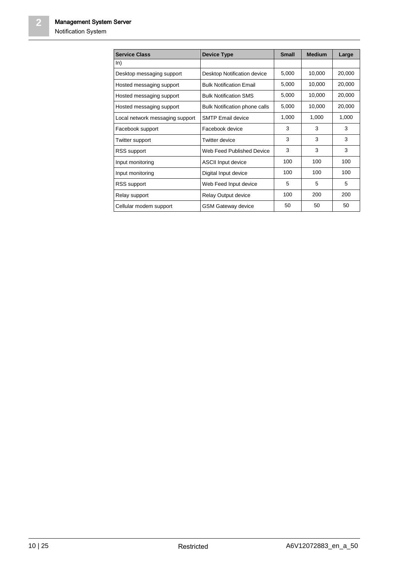Notification System

**2**

| <b>Service Class</b>            | <b>Device Type</b>             | <b>Small</b> | <b>Medium</b> | Large  |
|---------------------------------|--------------------------------|--------------|---------------|--------|
| ln)                             |                                |              |               |        |
| Desktop messaging support       | Desktop Notification device    | 5,000        | 10,000        | 20,000 |
| Hosted messaging support        | <b>Bulk Notification Email</b> | 5,000        | 10.000        | 20,000 |
| Hosted messaging support        | <b>Bulk Notification SMS</b>   | 5,000        | 10,000        | 20,000 |
| Hosted messaging support        | Bulk Notification phone calls  | 5,000        | 10,000        | 20,000 |
| Local network messaging support | <b>SMTP Email device</b>       | 1,000        | 1,000         | 1,000  |
| Facebook support                | Facebook device                | 3            | 3             | 3      |
| Twitter support                 | Twitter device                 | 3            | 3             | 3      |
| RSS support                     | Web Feed Published Device      | 3            | 3             | 3      |
| Input monitoring                | <b>ASCII Input device</b>      | 100          | 100           | 100    |
| Input monitoring                | Digital Input device           | 100          | 100           | 100    |
| RSS support                     | Web Feed Input device          | 5            | 5             | 5      |
| Relay support                   | Relay Output device            | 100          | 200           | 200    |
| Cellular modem support          | <b>GSM Gateway device</b>      | 50           | 50            | 50     |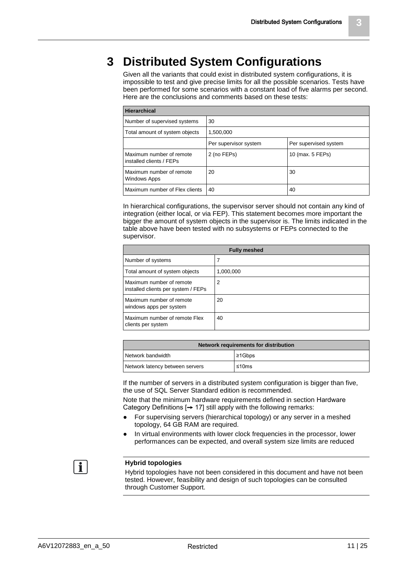### <span id="page-10-0"></span>**3 Distributed System Configurations**

Given all the variants that could exist in distributed system configurations, it is impossible to test and give precise limits for all the possible scenarios. Tests have been performed for some scenarios with a constant load of five alarms per second. Here are the conclusions and comments based on these tests:

| <b>Hierarchical</b>                                  |                       |                       |  |
|------------------------------------------------------|-----------------------|-----------------------|--|
| Number of supervised systems                         | 30                    |                       |  |
| Total amount of system objects                       | 1,500,000             |                       |  |
|                                                      | Per supervisor system | Per supervised system |  |
| Maximum number of remote<br>installed clients / FEPs | 2 (no FEPs)           | 10 (max. 5 FEPs)      |  |
| Maximum number of remote<br>Windows Apps             | 20                    | 30                    |  |
| Maximum number of Flex clients                       | 40                    | 40                    |  |

In hierarchical configurations, the supervisor server should not contain any kind of integration (either local, or via FEP). This statement becomes more important the bigger the amount of system objects in the supervisor is. The limits indicated in the table above have been tested with no subsystems or FEPs connected to the supervisor.

| <b>Fully meshed</b>                                             |           |
|-----------------------------------------------------------------|-----------|
| Number of systems                                               |           |
| Total amount of system objects                                  | 1,000,000 |
| Maximum number of remote<br>installed clients per system / FEPs | 2         |
| Maximum number of remote<br>windows apps per system             | 20        |
| Maximum number of remote Flex<br>clients per system             | 40        |

| Network requirements for distribution |               |
|---------------------------------------|---------------|
| Network bandwidth                     | $\geq 1$ Gbps |
| Network latency between servers       | ≤10ms         |

If the number of servers in a distributed system configuration is bigger than five, the use of SQL Server Standard edition is recommended.

Note that the minimum hardware requirements defined in section [Hardware](#page-16-0)  Category Definitions  $\rightarrow$  171 still apply with the following remarks:

- For supervising servers (hierarchical topology) or any server in a meshed topology, 64 GB RAM are required.
- In virtual environments with lower clock frequencies in the processor, lower performances can be expected, and overall system size limits are reduced



#### **Hybrid topologies**

Hybrid topologies have not been considered in this document and have not been tested. However, feasibility and design of such topologies can be consulted through Customer Support.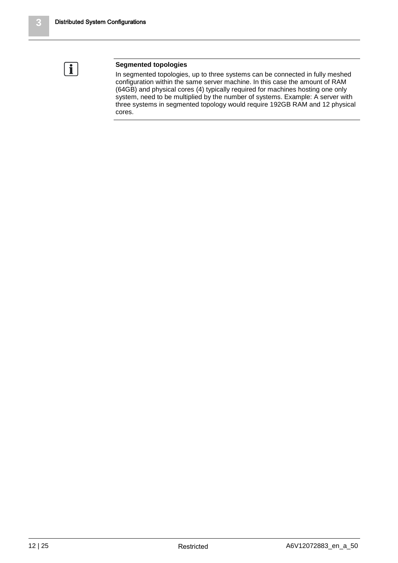

#### **Segmented topologies**

In segmented topologies, up to three systems can be connected in fully meshed configuration within the same server machine. In this case the amount of RAM (64GB) and physical cores (4) typically required for machines hosting one only system, need to be multiplied by the number of systems. Example: A server with three systems in segmented topology would require 192GB RAM and 12 physical cores.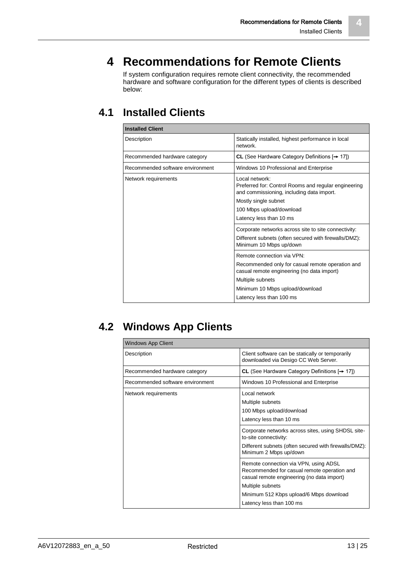### <span id="page-12-0"></span>**4 Recommendations for Remote Clients**

If system configuration requires remote client connectivity, the recommended hardware and software configuration for the different types of clients is described below:

### <span id="page-12-1"></span>**4.1 Installed Clients**

| <b>Installed Client</b>          |                                                                                                                                                                                                                 |  |
|----------------------------------|-----------------------------------------------------------------------------------------------------------------------------------------------------------------------------------------------------------------|--|
| Description                      | Statically installed, highest performance in local<br>network.                                                                                                                                                  |  |
| Recommended hardware category    | CL (See Hardware Category Definitions $[\rightarrow 17]$ )                                                                                                                                                      |  |
| Recommended software environment | Windows 10 Professional and Enterprise                                                                                                                                                                          |  |
| Network requirements             | Local network:<br>Preferred for: Control Rooms and regular engineering<br>and commissioning, including data import.<br>Mostly single subnet<br>100 Mbps upload/download<br>Latency less than 10 ms              |  |
|                                  | Corporate networks across site to site connectivity:<br>Different subnets (often secured with firewalls/DMZ):<br>Minimum 10 Mbps up/down                                                                        |  |
|                                  | Remote connection via VPN:<br>Recommended only for casual remote operation and<br>casual remote engineering (no data import)<br>Multiple subnets<br>Minimum 10 Mbps upload/download<br>Latency less than 100 ms |  |

### <span id="page-12-2"></span>**4.2 Windows App Clients**

| <b>Windows App Client</b>                                                  |                                                                                                                                                                                                   |  |  |  |
|----------------------------------------------------------------------------|---------------------------------------------------------------------------------------------------------------------------------------------------------------------------------------------------|--|--|--|
| Description                                                                | Client software can be statically or temporarily<br>downloaded via Desigo CC Web Server.                                                                                                          |  |  |  |
| Recommended hardware category                                              | CL (See Hardware Category Definitions $[\rightarrow 17]$ )                                                                                                                                        |  |  |  |
| Recommended software environment<br>Windows 10 Professional and Enterprise |                                                                                                                                                                                                   |  |  |  |
| Network requirements                                                       | Local network<br>Multiple subnets<br>100 Mbps upload/download<br>Latency less than 10 ms                                                                                                          |  |  |  |
|                                                                            | Corporate networks across sites, using SHDSL site-<br>to-site connectivity:<br>Different subnets (often secured with firewalls/DMZ):<br>Minimum 2 Mbps up/down                                    |  |  |  |
|                                                                            | Remote connection via VPN, using ADSL<br>Recommended for casual remote operation and<br>casual remote engineering (no data import)<br>Multiple subnets<br>Minimum 512 Kbps upload/6 Mbps download |  |  |  |
|                                                                            | Latency less than 100 ms                                                                                                                                                                          |  |  |  |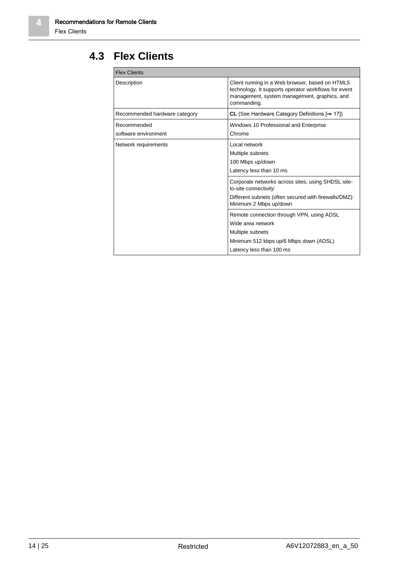### **4.3 Flex Clients**

| <b>Flex Clients</b>                 |                                                                                                                                                                        |  |
|-------------------------------------|------------------------------------------------------------------------------------------------------------------------------------------------------------------------|--|
| Description                         | Client running in a Web browser, based on HTML5<br>technology. It supports operator workflows for event<br>management, system management, graphics, and<br>commanding. |  |
| Recommended hardware category       | CL (See Hardware Category Definitions $[\rightarrow 17]$ )                                                                                                             |  |
| Recommended<br>software environment | Windows 10 Professional and Enterprise<br>Chrome                                                                                                                       |  |
| Network requirements                | Local network<br>Multiple subnets<br>100 Mbps up/down<br>Latency less than 10 ms                                                                                       |  |
|                                     | Corporate networks across sites, using SHDSL site-<br>to-site connectivity:<br>Different subnets (often secured with firewalls/DMZ):<br>Minimum 2 Mbps up/down         |  |
|                                     | Remote connection through VPN, using ADSL<br>Wide area network<br>Multiple subnets<br>Minimum 512 kbps up/6 Mbps down (ADSL)<br>Latency less than 100 ms               |  |

<span id="page-13-0"></span>**4**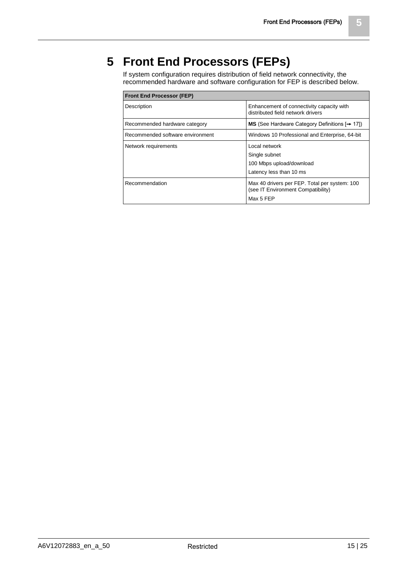### <span id="page-14-0"></span>**5 Front End Processors (FEPs)**

If system configuration requires distribution of field network connectivity, the recommended hardware and software configuration for FEP is described below.

| <b>Front End Processor (FEP)</b> |                                                                                                  |  |  |
|----------------------------------|--------------------------------------------------------------------------------------------------|--|--|
| Description                      | Enhancement of connectivity capacity with<br>distributed field network drivers                   |  |  |
| Recommended hardware category    | <b>MS</b> (See Hardware Category Definitions $[\rightarrow 17]$ )                                |  |  |
| Recommended software environment | Windows 10 Professional and Enterprise, 64-bit                                                   |  |  |
| Network requirements             | Local network<br>Single subnet<br>100 Mbps upload/download<br>Latency less than 10 ms            |  |  |
| Recommendation                   | Max 40 drivers per FEP. Total per system: 100<br>(see IT Environment Compatibility)<br>Max 5 FEP |  |  |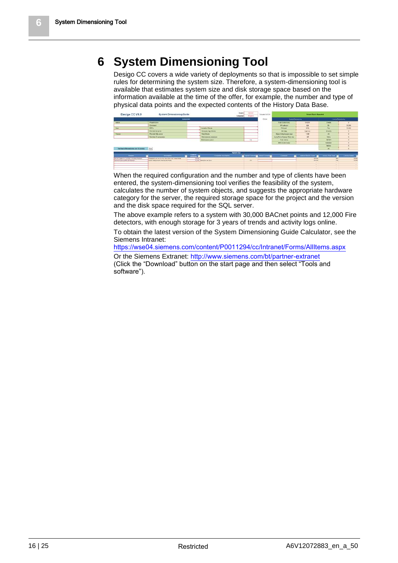# <span id="page-15-0"></span>**6 System Dimensioning Tool**

Desigo CC covers a wide variety of deployments so that is impossible to set simple rules for determining the system size. Therefore, a system-dimensioning tool is available that estimates system size and disk storage space based on the information available at the time of the offer, for example, the number and type of physical data points and the expected contents of the History Data Base.



When the required configuration and the number and type of clients have been entered, the system-dimensioning tool verifies the feasibility of the system, calculates the number of system objects, and suggests the appropriate hardware category for the server, the required storage space for the project and the version and the disk space required for the SQL server.

The above example refers to a system with 30,000 BACnet points and 12,000 Fire detectors, with enough storage for 3 years of trends and activity logs online.

To obtain the latest version of the System Dimensioning Guide Calculator, see the Siemens Intranet:

<https://wse04.siemens.com/content/P0011294/cc/Intranet/Forms/AllItems.aspx>

Or the Siemens Extranet: <http://www.siemens.com/bt/partner-extranet> (Click the "Download" button on the start page and then select "Tools and software").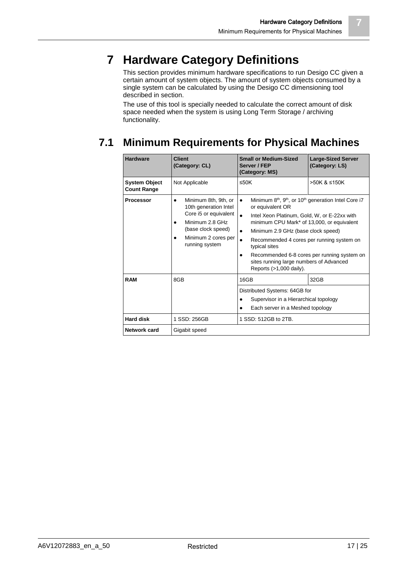**7**

# <span id="page-16-0"></span>**7 Hardware Category Definitions**

This section provides minimum hardware specifications to run Desigo CC given a certain amount of system objects. The amount of system objects consumed by a single system can be calculated by using the Desigo CC dimensioning tool described in section.

The use of this tool is specially needed to calculate the correct amount of disk space needed when the system is using Long Term Storage / archiving functionality.

## <span id="page-16-1"></span>**7.1 Minimum Requirements for Physical Machines**

| <b>Hardware</b>                            | <b>Client</b><br>(Category: CL)                                                                                                                                       | <b>Small or Medium-Sized</b><br>Server / FEP<br>(Category: MS)                                                                                                                                                                                                                                                                                    | <b>Large-Sized Server</b><br>(Category: LS)                                                                                             |
|--------------------------------------------|-----------------------------------------------------------------------------------------------------------------------------------------------------------------------|---------------------------------------------------------------------------------------------------------------------------------------------------------------------------------------------------------------------------------------------------------------------------------------------------------------------------------------------------|-----------------------------------------------------------------------------------------------------------------------------------------|
| <b>System Object</b><br><b>Count Range</b> | Not Applicable                                                                                                                                                        | $\leq$ 50K                                                                                                                                                                                                                                                                                                                                        | >50K & ≤150K                                                                                                                            |
| <b>Processor</b>                           | Minimum 8th, 9th, or<br>$\bullet$<br>10th generation Intel<br>Core i5 or equivalent<br>Minimum 2.8 GHz<br>(base clock speed)<br>Minimum 2 cores per<br>running system | $\bullet$<br>or equivalent OR<br>$\bullet$<br>Intel Xeon Platinum, Gold, W, or E-22xx with<br>minimum CPU Mark* of 13,000, or equivalent<br>Minimum 2.9 GHz (base clock speed)<br>$\bullet$<br>Recommended 4 cores per running system on<br>$\bullet$<br>typical sites<br>٠<br>sites running large numbers of Advanced<br>Reports (>1,000 daily). | Minimum 8 <sup>th</sup> , 9 <sup>th</sup> , or 10 <sup>th</sup> generation Intel Core i7<br>Recommended 6-8 cores per running system on |
| <b>RAM</b>                                 | 8GB                                                                                                                                                                   | 16GB<br>32GB<br>Distributed Systems: 64GB for<br>Supervisor in a Hierarchical topology<br>Each server in a Meshed topology                                                                                                                                                                                                                        |                                                                                                                                         |
| <b>Hard disk</b>                           | 1 SSD: 256GB                                                                                                                                                          | 1 SSD: 512GB to 2TB.                                                                                                                                                                                                                                                                                                                              |                                                                                                                                         |
| Network card                               | Gigabit speed                                                                                                                                                         |                                                                                                                                                                                                                                                                                                                                                   |                                                                                                                                         |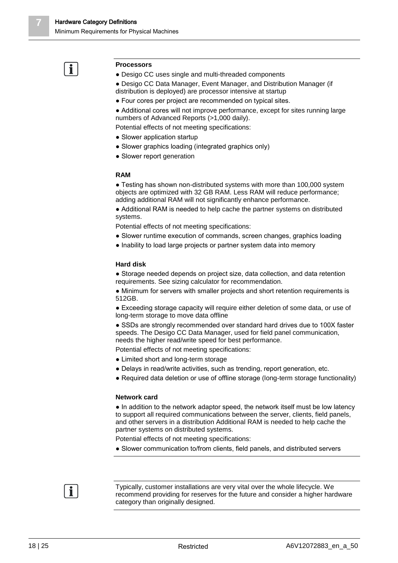

#### **Processors**

- Desigo CC uses single and multi-threaded components
- Desigo CC Data Manager, Event Manager, and Distribution Manager (if distribution is deployed) are processor intensive at startup
- Four cores per project are recommended on typical sites.
- Additional cores will not improve performance, except for sites running large numbers of Advanced Reports (>1,000 daily).
- Potential effects of not meeting specifications:
- Slower application startup
- Slower graphics loading (integrated graphics only)
- Slower report generation

#### **RAM**

● Testing has shown non-distributed systems with more than 100,000 system objects are optimized with 32 GB RAM. Less RAM will reduce performance; adding additional RAM will not significantly enhance performance.

● Additional RAM is needed to help cache the partner systems on distributed systems.

Potential effects of not meeting specifications:

- Slower runtime execution of commands, screen changes, graphics loading
- Inability to load large projects or partner system data into memory

#### **Hard disk**

● Storage needed depends on project size, data collection, and data retention requirements. See sizing calculator for recommendation.

● Minimum for servers with smaller projects and short retention requirements is 512GB.

● Exceeding storage capacity will require either deletion of some data, or use of long-term storage to move data offline

● SSDs are strongly recommended over standard hard drives due to 100X faster speeds. The Desigo CC Data Manager, used for field panel communication, needs the higher read/write speed for best performance.

Potential effects of not meeting specifications:

- Limited short and long-term storage
- Delays in read/write activities, such as trending, report generation, etc.
- Required data deletion or use of offline storage (long-term storage functionality)

#### **Network card**

● In addition to the network adaptor speed, the network itself must be low latency to support all required communications between the server, clients, field panels, and other servers in a distribution Additional RAM is needed to help cache the partner systems on distributed systems.

Potential effects of not meeting specifications:

● Slower communication to/from clients, field panels, and distributed servers



Typically, customer installations are very vital over the whole lifecycle. We recommend providing for reserves for the future and consider a higher hardware category than originally designed.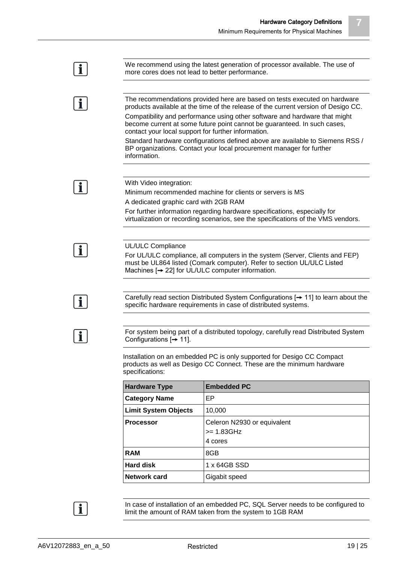**7**

| We recommend using the latest generation of processor available. The use of<br>more cores does not lead to better performance. |                                                                                                                                                                                                                                       |  |  |
|--------------------------------------------------------------------------------------------------------------------------------|---------------------------------------------------------------------------------------------------------------------------------------------------------------------------------------------------------------------------------------|--|--|
|                                                                                                                                |                                                                                                                                                                                                                                       |  |  |
|                                                                                                                                | The recommendations provided here are based on tests executed on hardware<br>products available at the time of the release of the current version of Desigo CC.                                                                       |  |  |
|                                                                                                                                | Compatibility and performance using other software and hardware that might<br>become current at some future point cannot be guaranteed. In such cases,<br>contact your local support for further information.                         |  |  |
| information.                                                                                                                   | Standard hardware configurations defined above are available to Siemens RSS /<br>BP organizations. Contact your local procurement manager for further                                                                                 |  |  |
| With Video integration:                                                                                                        |                                                                                                                                                                                                                                       |  |  |
|                                                                                                                                | Minimum recommended machine for clients or servers is MS                                                                                                                                                                              |  |  |
| A dedicated graphic card with 2GB RAM                                                                                          |                                                                                                                                                                                                                                       |  |  |
|                                                                                                                                | For further information regarding hardware specifications, especially for<br>virtualization or recording scenarios, see the specifications of the VMS vendors.                                                                        |  |  |
|                                                                                                                                |                                                                                                                                                                                                                                       |  |  |
| UL/ULC Compliance                                                                                                              | For UL/ULC compliance, all computers in the system (Server, Clients and FEP)<br>must be UL864 listed (Comark computer). Refer to section UL/ULC Listed<br>Machines $\rightarrow$ 22] for UL/ULC computer information.                 |  |  |
|                                                                                                                                | specific hardware requirements in case of distributed systems.                                                                                                                                                                        |  |  |
| Configurations $[\rightarrow 11]$ .                                                                                            |                                                                                                                                                                                                                                       |  |  |
| specifications:                                                                                                                | For system being part of a distributed topology, carefully read Distributed System<br>Installation on an embedded PC is only supported for Desigo CC Compact<br>products as well as Desigo CC Connect. These are the minimum hardware |  |  |
| <b>Hardware Type</b>                                                                                                           | <b>Embedded PC</b>                                                                                                                                                                                                                    |  |  |
| <b>Category Name</b>                                                                                                           | EP                                                                                                                                                                                                                                    |  |  |
| <b>Limit System Objects</b>                                                                                                    | 10,000                                                                                                                                                                                                                                |  |  |
| <b>Processor</b>                                                                                                               | Celeron N2930 or equivalent<br>$>= 1.83 GHz$                                                                                                                                                                                          |  |  |
|                                                                                                                                | 4 cores                                                                                                                                                                                                                               |  |  |
| <b>RAM</b>                                                                                                                     | Carefully read section Distributed System Configurations $[\rightarrow 11]$ to learn about the<br>8GB                                                                                                                                 |  |  |
| <b>Hard disk</b>                                                                                                               | 1 x 64GB SSD                                                                                                                                                                                                                          |  |  |

In case of installation of an embedded PC, SQL Server needs to be configured to limit the amount of RAM taken from the system to 1GB RAM

 $\boxed{\mathbf{i}}$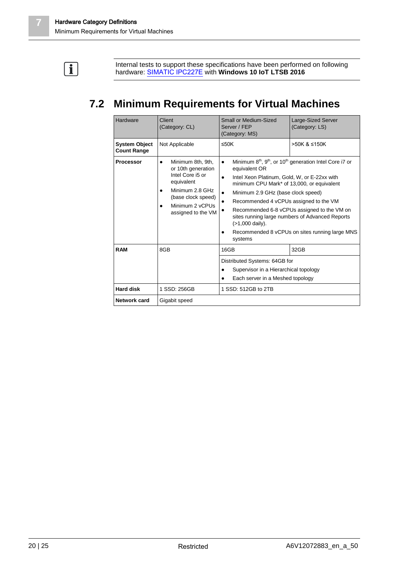<span id="page-19-0"></span> $\boxed{1}$ 

**7**

Internal tests to support these specifications have been performed on following hardware: [SIMATIC IPC227E](https://new.siemens.com/global/en/products/automation/pc-based/simatic-box-ipc.html#SIMATICIPC227E) with **Windows 10 IoT LTSB 2016**

### **7.2 Minimum Requirements for Virtual Machines**

| Hardware                                   | Client<br>(Category: CL)                                                                                                                                                 | Small or Medium-Sized<br>Server / FEP<br>(Category: MS)                                                                                                                                                                                                                                                                                                                                                                                                                                                        | Large-Sized Server<br>(Category: LS) |
|--------------------------------------------|--------------------------------------------------------------------------------------------------------------------------------------------------------------------------|----------------------------------------------------------------------------------------------------------------------------------------------------------------------------------------------------------------------------------------------------------------------------------------------------------------------------------------------------------------------------------------------------------------------------------------------------------------------------------------------------------------|--------------------------------------|
| <b>System Object</b><br><b>Count Range</b> | Not Applicable                                                                                                                                                           | $\leq$ 50K                                                                                                                                                                                                                                                                                                                                                                                                                                                                                                     | >50K & ≤150K                         |
| <b>Processor</b>                           | Minimum 8th, 9th,<br>$\bullet$<br>or 10th generation<br>Intel Core i5 or<br>equivalent<br>Minimum 2.8 GHz<br>(base clock speed)<br>Minimum 2 vCPUs<br>assigned to the VM | Minimum $8th$ , $9th$ , or 10 <sup>th</sup> generation Intel Core i7 or<br>$\bullet$<br>equivalent OR<br>Intel Xeon Platinum, Gold, W, or E-22xx with<br>$\bullet$<br>minimum CPU Mark* of 13,000, or equivalent<br>Minimum 2.9 GHz (base clock speed)<br>$\bullet$<br>Recommended 4 vCPUs assigned to the VM<br>$\bullet$<br>Recommended 6-8 vCPUs assigned to the VM on<br>sites running large numbers of Advanced Reports<br>$(>1,000$ daily).<br>Recommended 8 vCPUs on sites running large MNS<br>systems |                                      |
| <b>RAM</b>                                 | 8GB                                                                                                                                                                      | 16GB<br>32GB<br>Distributed Systems: 64GB for<br>Supervisor in a Hierarchical topology<br>Each server in a Meshed topology                                                                                                                                                                                                                                                                                                                                                                                     |                                      |
| <b>Hard disk</b>                           | 1 SSD: 256GB                                                                                                                                                             | 1 SSD: 512GB to 2TB                                                                                                                                                                                                                                                                                                                                                                                                                                                                                            |                                      |
| Network card                               | Gigabit speed                                                                                                                                                            |                                                                                                                                                                                                                                                                                                                                                                                                                                                                                                                |                                      |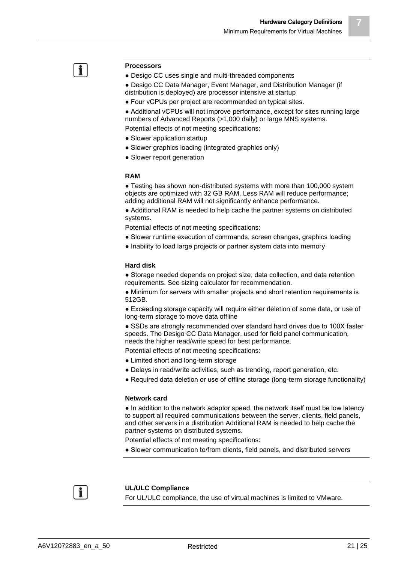#### **Processors**

- Desigo CC uses single and multi-threaded components
- Desigo CC Data Manager, Event Manager, and Distribution Manager (if distribution is deployed) are processor intensive at startup
- Four vCPUs per project are recommended on typical sites.
- Additional vCPUs will not improve performance, except for sites running large numbers of Advanced Reports (>1,000 daily) or large MNS systems.
- Potential effects of not meeting specifications:
- Slower application startup
- Slower graphics loading (integrated graphics only)
- Slower report generation

#### **RAM**

• Testing has shown non-distributed systems with more than 100,000 system objects are optimized with 32 GB RAM. Less RAM will reduce performance; adding additional RAM will not significantly enhance performance.

● Additional RAM is needed to help cache the partner systems on distributed systems.

Potential effects of not meeting specifications:

- Slower runtime execution of commands, screen changes, graphics loading
- Inability to load large projects or partner system data into memory

#### **Hard disk**

• Storage needed depends on project size, data collection, and data retention requirements. See sizing calculator for recommendation.

● Minimum for servers with smaller projects and short retention requirements is 512GB.

● Exceeding storage capacity will require either deletion of some data, or use of long-term storage to move data offline

• SSDs are strongly recommended over standard hard drives due to 100X faster speeds. The Desigo CC Data Manager, used for field panel communication, needs the higher read/write speed for best performance.

Potential effects of not meeting specifications:

- Limited short and long-term storage
- Delays in read/write activities, such as trending, report generation, etc.
- Required data deletion or use of offline storage (long-term storage functionality)

#### **Network card**

● In addition to the network adaptor speed, the network itself must be low latency to support all required communications between the server, clients, field panels, and other servers in a distribution Additional RAM is needed to help cache the partner systems on distributed systems.

Potential effects of not meeting specifications:

● Slower communication to/from clients, field panels, and distributed servers



#### **UL/ULC Compliance**

For UL/ULC compliance, the use of virtual machines is limited to VMware.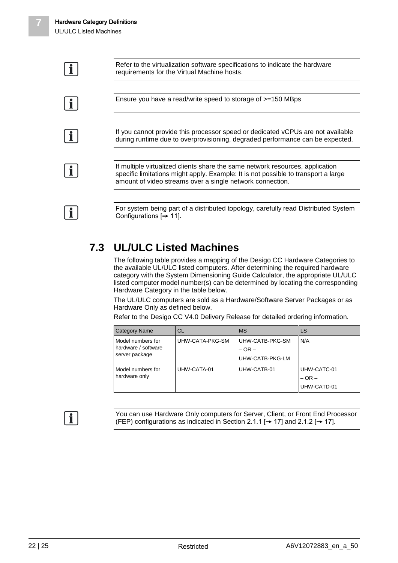**7**

| Refer to the virtualization software specifications to indicate the hardware<br>requirements for the Virtual Machine hosts.                                                                                                      |
|----------------------------------------------------------------------------------------------------------------------------------------------------------------------------------------------------------------------------------|
| Ensure you have a read/write speed to storage of >=150 MBps                                                                                                                                                                      |
| If you cannot provide this processor speed or dedicated vCPUs are not available<br>during runtime due to overprovisioning, degraded performance can be expected.                                                                 |
| If multiple virtualized clients share the same network resources, application<br>specific limitations might apply. Example: It is not possible to transport a large<br>amount of video streams over a single network connection. |
| For system being part of a distributed topology, carefully read Distributed System<br>Configurations $[\rightarrow 11]$ .                                                                                                        |
|                                                                                                                                                                                                                                  |

### <span id="page-21-0"></span>**7.3 UL/ULC Listed Machines**

The following table provides a mapping of the Desigo CC Hardware Categories to the available UL/ULC listed computers. After determining the required hardware category with the System Dimensioning Guide Calculator, the appropriate UL/ULC listed computer model number(s) can be determined by locating the corresponding Hardware Category in the table below.

The UL/ULC computers are sold as a Hardware/Software Server Packages or as Hardware Only as defined below.

Refer to the Desigo CC V4.0 Delivery Release for detailed ordering information.

| <b>Category Name</b>                                       | <b>CL</b>       | <b>MS</b>                                        | LS                                       |
|------------------------------------------------------------|-----------------|--------------------------------------------------|------------------------------------------|
| Model numbers for<br>hardware / software<br>server package | UHW-CATA-PKG-SM | UHW-CATB-PKG-SM<br>$-$ OR $-$<br>UHW-CATB-PKG-LM | N/A                                      |
| Model numbers for<br>hardware only                         | UHW-CATA-01     | UHW-CATB-01                                      | UHW-CATC-01<br>$-$ OR $-$<br>UHW-CATD-01 |

# $\boxed{\mathbf{i}}$

You can use Hardware Only computers for Server, Client, or Front End Processor (FEP) configurations as indicated in Section 2.1.1  $\rightarrow$  [17\]](#page-16-0) and 2.1.2  $\rightarrow$  17].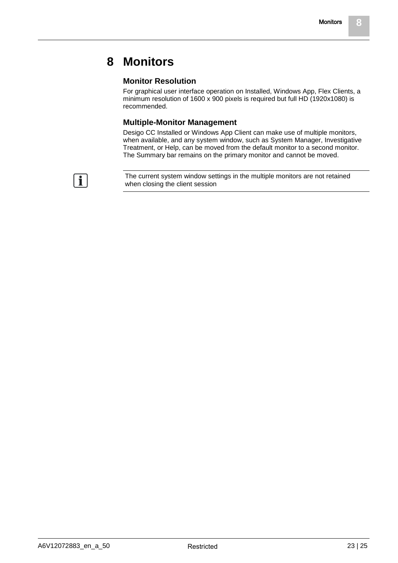## <span id="page-22-0"></span>**8 Monitors**

### **Monitor Resolution**

For graphical user interface operation on Installed, Windows App, Flex Clients, a minimum resolution of 1600 x 900 pixels is required but full HD (1920x1080) is recommended.

### **Multiple-Monitor Management**

Desigo CC Installed or Windows App Client can make use of multiple monitors, when available, and any system window, such as System Manager, Investigative Treatment, or Help, can be moved from the default monitor to a second monitor. The Summary bar remains on the primary monitor and cannot be moved.

i.

The current system window settings in the multiple monitors are not retained when closing the client session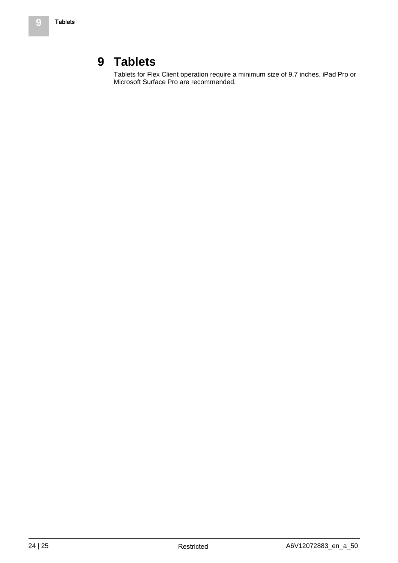### <span id="page-23-0"></span>**9 Tablets**

Tablets for Flex Client operation require a minimum size of 9.7 inches. iPad Pro or Microsoft Surface Pro are recommended.